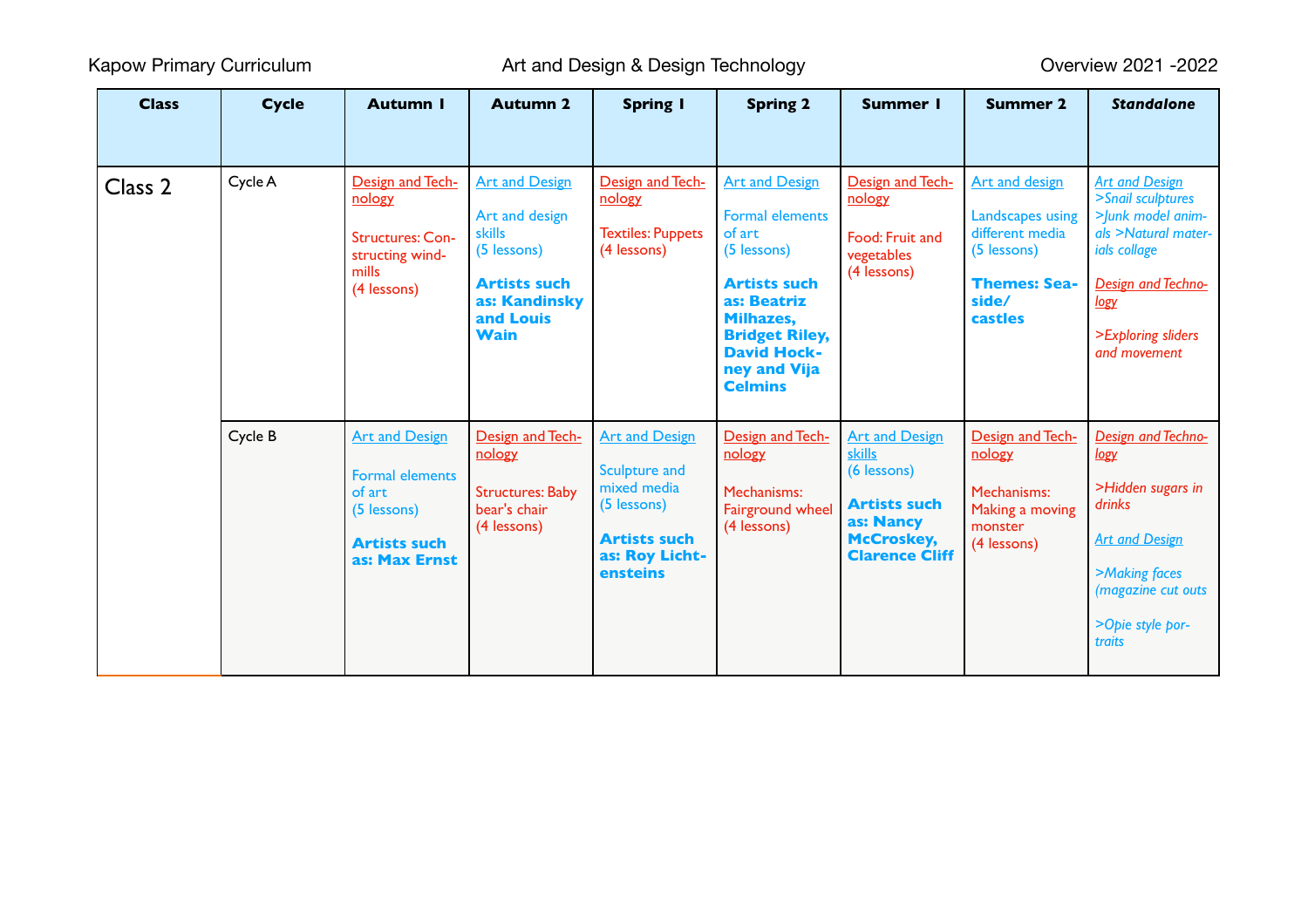| <b>Class</b> | <b>Cycle</b> | <b>Autumn I</b>                                                                                                  | <b>Autumn 2</b>                                                                                                                      | <b>Spring I</b>                                                                                                                  | <b>Spring 2</b>                                                                                                                                                                                              | <b>Summer I</b>                                                                                                                         | <b>Summer 2</b>                                                                                                               | <b>Standalone</b>                                                                                                                                                           |
|--------------|--------------|------------------------------------------------------------------------------------------------------------------|--------------------------------------------------------------------------------------------------------------------------------------|----------------------------------------------------------------------------------------------------------------------------------|--------------------------------------------------------------------------------------------------------------------------------------------------------------------------------------------------------------|-----------------------------------------------------------------------------------------------------------------------------------------|-------------------------------------------------------------------------------------------------------------------------------|-----------------------------------------------------------------------------------------------------------------------------------------------------------------------------|
|              |              |                                                                                                                  |                                                                                                                                      |                                                                                                                                  |                                                                                                                                                                                                              |                                                                                                                                         |                                                                                                                               |                                                                                                                                                                             |
| Class 2      | Cycle A      | Design and Tech-<br>nology<br><b>Structures: Con-</b><br>structing wind-<br>mills<br>(4 lessons)                 | <b>Art and Design</b><br>Art and design<br>skills<br>(5 lessons)<br><b>Artists such</b><br>as: Kandinsky<br>and Louis<br><b>Wain</b> | Design and Tech-<br>nology<br><b>Textiles: Puppets</b><br>(4 lessons)                                                            | <b>Art and Design</b><br><b>Formal elements</b><br>of art<br>(5 lessons)<br><b>Artists such</b><br>as: Beatriz<br>Milhazes,<br><b>Bridget Riley,</b><br><b>David Hock-</b><br>ney and Vija<br><b>Celmins</b> | Design and Tech-<br>nology<br>Food: Fruit and<br>vegetables<br>(4 lessons)                                                              | <b>Art and design</b><br><b>Landscapes using</b><br>different media<br>(5 lessons)<br><b>Themes: Sea-</b><br>side/<br>castles | <b>Art and Design</b><br>>Snail sculptures<br>> Junk model anim-<br>als >Natural mater-<br>ials collage<br>Design and Techno-<br>logy<br>>Exploring sliders<br>and movement |
|              | Cycle B      | <b>Art and Design</b><br><b>Formal elements</b><br>of art<br>(5 lessons)<br><b>Artists such</b><br>as: Max Ernst | Design and Tech-<br>nology<br><b>Structures: Baby</b><br>bear's chair<br>(4 lessons)                                                 | <b>Art and Design</b><br>Sculpture and<br>mixed media<br>(5 lessons)<br><b>Artists such</b><br>as: Roy Licht-<br><b>ensteins</b> | Design and Tech-<br>nology<br>Mechanisms:<br>Fairground wheel<br>(4 lessons)                                                                                                                                 | <b>Art and Design</b><br><b>skills</b><br>(6 lessons)<br><b>Artists such</b><br>as: Nancy<br><b>McCroskey,</b><br><b>Clarence Cliff</b> | Design and Tech-<br>nology<br>Mechanisms:<br>Making a moving<br>monster<br>(4 lessons)                                        | Design and Techno-<br>logy<br>>Hidden sugars in<br>drinks<br><b>Art and Design</b><br>>Making faces<br>(magazine cut outs<br>>Opie style por-<br>traits                     |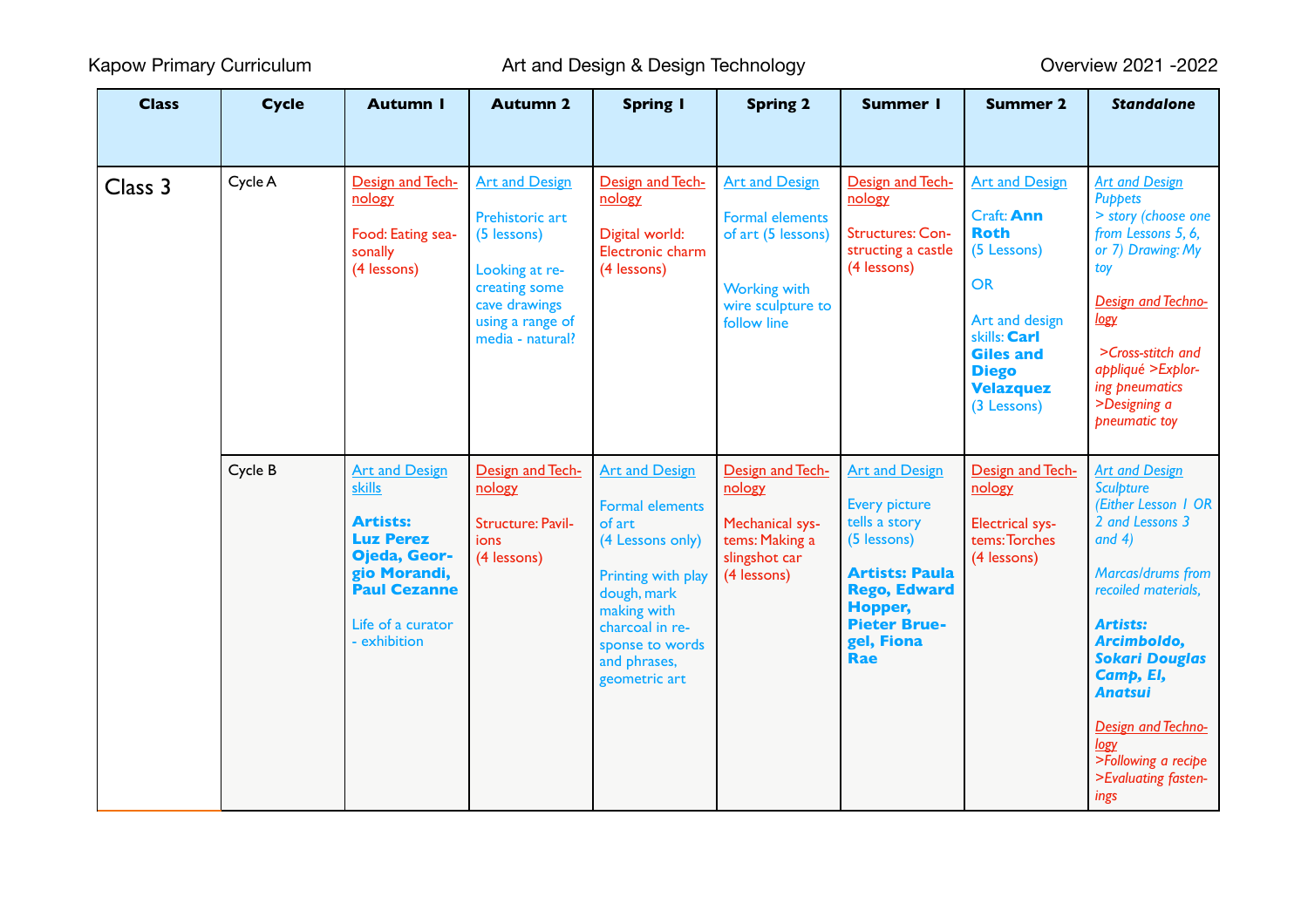Kapow Primary Curriculum **Art and Design & Design Technology Consumer System** Primary Curriculum Coverview 2021 -2022

| <b>Class</b> | <b>Cycle</b> | <b>Autumn I</b>                                                                                                                                                    | <b>Autumn 2</b>                                                                                                                                     | <b>Spring I</b>                                                                                                                                                                                          | <b>Spring 2</b>                                                                                                                  | <b>Summer I</b>                                                                                                                                                                      | <b>Summer 2</b>                                                                                                                                                                         | <b>Standalone</b>                                                                                                                                                                                                                                                                                                                |
|--------------|--------------|--------------------------------------------------------------------------------------------------------------------------------------------------------------------|-----------------------------------------------------------------------------------------------------------------------------------------------------|----------------------------------------------------------------------------------------------------------------------------------------------------------------------------------------------------------|----------------------------------------------------------------------------------------------------------------------------------|--------------------------------------------------------------------------------------------------------------------------------------------------------------------------------------|-----------------------------------------------------------------------------------------------------------------------------------------------------------------------------------------|----------------------------------------------------------------------------------------------------------------------------------------------------------------------------------------------------------------------------------------------------------------------------------------------------------------------------------|
| Class 3      | Cycle A      | Design and Tech-<br>nology<br>Food: Eating sea-<br>sonally<br>(4 lessons)                                                                                          | <b>Art and Design</b><br>Prehistoric art<br>(5 lessons)<br>Looking at re-<br>creating some<br>cave drawings<br>using a range of<br>media - natural? | Design and Tech-<br>nology<br>Digital world:<br>Electronic charm<br>(4 lessons)                                                                                                                          | <b>Art and Design</b><br><b>Formal elements</b><br>of art (5 lessons)<br><b>Working with</b><br>wire sculpture to<br>follow line | Design and Tech-<br>nology<br>Structures: Con-<br>structing a castle<br>(4 lessons)                                                                                                  | <b>Art and Design</b><br>Craft: Ann<br><b>Roth</b><br>(5 Lessons)<br><b>OR</b><br>Art and design<br>skills: Carl<br><b>Giles and</b><br><b>Diego</b><br><b>Velazquez</b><br>(3 Lessons) | <b>Art and Design</b><br><b>Puppets</b><br>> story (choose one<br>from Lessons 5, 6,<br>or 7) Drawing: My<br>toy<br>Design and Techno-<br>logy<br>>Cross-stitch and<br>appliqué > Explor-<br>ing pneumatics<br>>Designing a<br>pneumatic toy                                                                                     |
|              | Cycle B      | <b>Art and Design</b><br><b>skills</b><br>Artists:<br><b>Luz Perez</b><br>Ojeda, Geor-<br>gio Morandi,<br><b>Paul Cezanne</b><br>Life of a curator<br>- exhibition | Design and Tech-<br>nology<br><b>Structure: Pavil-</b><br><b>ions</b><br>(4 lessons)                                                                | <b>Art and Design</b><br><b>Formal elements</b><br>of art<br>(4 Lessons only)<br>Printing with play<br>dough, mark<br>making with<br>charcoal in re-<br>sponse to words<br>and phrases,<br>geometric art | Design and Tech-<br>nology<br>Mechanical sys-<br>tems: Making a<br>slingshot car<br>(4 lessons)                                  | <b>Art and Design</b><br><b>Every picture</b><br>tells a story<br>(5 lessons)<br><b>Artists: Paula</b><br><b>Rego, Edward</b><br>Hopper,<br><b>Pieter Brue-</b><br>gel, Fiona<br>Rae | Design and Tech-<br>nology<br><b>Electrical sys-</b><br>tems: Torches<br>(4 lessons)                                                                                                    | <b>Art and Design</b><br><b>Sculpture</b><br>(Either Lesson 1 OR<br>2 and Lessons 3<br>and $4)$<br>Marcas/drums from<br>recoiled materials.<br><b>Artists:</b><br>Arcimboldo,<br><b>Sokari Douglas</b><br>Camp, El,<br><b>Anatsui</b><br><b>Design and Techno-</b><br>logy<br>>Following a recipe<br>>Evaluating fasten-<br>ings |